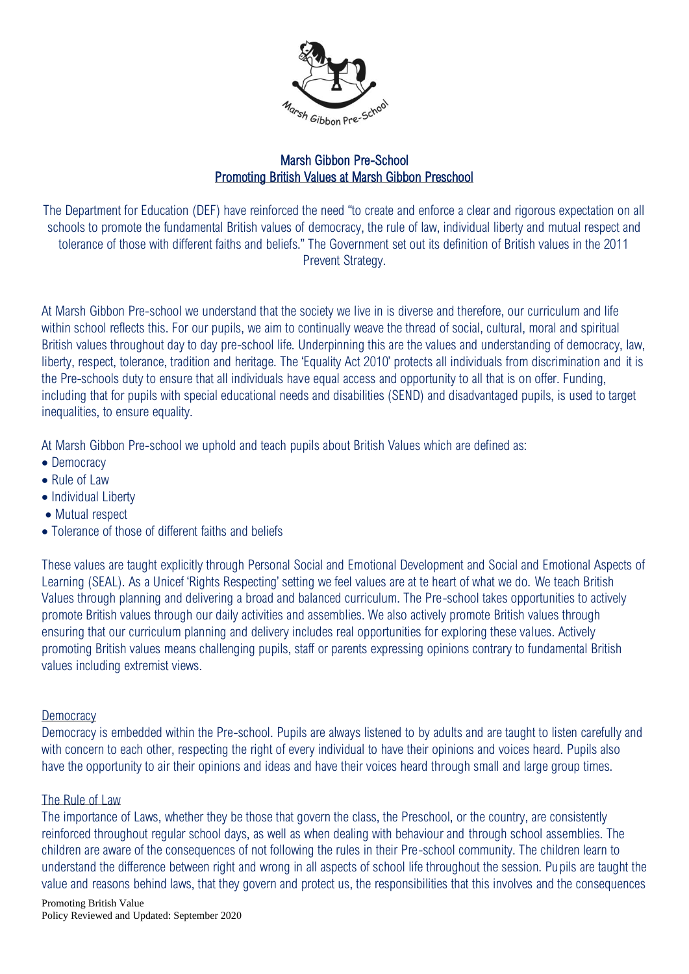

# Marsh Gibbon Pre-School Promoting British Values at Marsh Gibbon Preschool

The Department for Education (DEF) have reinforced the need "to create and enforce a clear and rigorous expectation on all schools to promote the fundamental British values of democracy, the rule of law, individual liberty and mutual respect and tolerance of those with different faiths and beliefs." The Government set out its definition of British values in the 2011 Prevent Strategy.

At Marsh Gibbon Pre-school we understand that the society we live in is diverse and therefore, our curriculum and life within school reflects this. For our pupils, we aim to continually weave the thread of social, cultural, moral and spiritual British values throughout day to day pre-school life. Underpinning this are the values and understanding of democracy, law, liberty, respect, tolerance, tradition and heritage. The 'Equality Act 2010' protects all individuals from discrimination and it is the Pre-schools duty to ensure that all individuals have equal access and opportunity to all that is on offer. Funding, including that for pupils with special educational needs and disabilities (SEND) and disadvantaged pupils, is used to target inequalities, to ensure equality.

At Marsh Gibbon Pre-school we uphold and teach pupils about British Values which are defined as:

- Democracy
- Rule of Law
- Individual Liberty
- Mutual respect
- Tolerance of those of different faiths and beliefs

These values are taught explicitly through Personal Social and Emotional Development and Social and Emotional Aspects of Learning (SEAL). As a Unicef 'Rights Respecting' setting we feel values are at te heart of what we do. We teach British Values through planning and delivering a broad and balanced curriculum. The Pre-school takes opportunities to actively promote British values through our daily activities and assemblies. We also actively promote British values through ensuring that our curriculum planning and delivery includes real opportunities for exploring these values. Actively promoting British values means challenging pupils, staff or parents expressing opinions contrary to fundamental British values including extremist views.

# **Democracy**

Democracy is embedded within the Pre-school. Pupils are always listened to by adults and are taught to listen carefully and with concern to each other, respecting the right of every individual to have their opinions and voices heard. Pupils also have the opportunity to air their opinions and ideas and have their voices heard through small and large group times.

# The Rule of Law

The importance of Laws, whether they be those that govern the class, the Preschool, or the country, are consistently reinforced throughout regular school days, as well as when dealing with behaviour and through school assemblies. The children are aware of the consequences of not following the rules in their Pre-school community. The children learn to understand the difference between right and wrong in all aspects of school life throughout the session. Pupils are taught the value and reasons behind laws, that they govern and protect us, the responsibilities that this involves and the consequences

Promoting British Value Policy Reviewed and Updated: September 2020